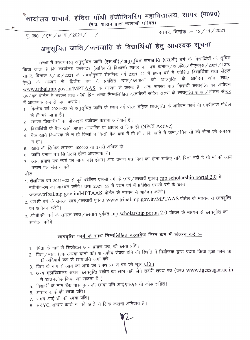कार्यालय प्राचार्य, इंदिरा गाँधी इंजीनियरिंग महाविद्यालय, सागर (म0प्र0)

(म.प्र. शासन द्वारा स्वशासी घोषित)

पृ. क्र0 /इम./छा.वृ./2021/

सागर, दिनांक :- 12/11/2021

## अनुसूचित जाति / जनजाति के विद्यार्थियों हेतु आवश्यक सूचना

संस्था में अध्ययनरत् अनुसूचित जाति (एस.सी) / अनुसूचित जनजाति (एस.टी) वर्ग के विद्यार्थियों को सूचित किया जाता है कि कार्यालय कलेक्टर (आदिवासी विकास) सागर का पत्र क्रमांक /आ0वि0 /पीएमएस / 2021 / 1276 सागर, दिनांक ८/10/2021 के संदर्भानुसार शैक्षणिक वर्ष 2021–22 में प्रथम वर्ष में प्रवेशित विद्यार्थियों तथा लेट्रल ऐण्ट्री के माध्यम से द्वितीय वर्ष में प्रवेशित छात्र /छात्राओं को छात्रवृत्ति के आवेदन ऑन लाईन www.tribal.mp.gov.in/MPTAAS के माध्यम से करना हैं। अतः समस्त पात्र विद्यार्थी छात्रवृत्ति का आवेदन उपरोक्त पोर्टल में भरकर हार्ड कॉपी प्रिंट करके निम्नलिखित दस्तावेजों सहित संस्था के <u>छात्रवृत्ति शाखा / नोडल सेंन्टर</u> में आवश्यक रूप से जमा कराये।

- 1. वित्तीय वर्ष 2021–22 से अनुसूचित जाति के प्रथम वर्ष पोस्ट मैट्रिक छात्रवृत्ति के आवेदन फार्म भी एमपीटास पोर्टल से ही भरे जाना हैं।
- 2. समस्त विद्यार्थियों का प्रोफाइल पंजीयन कराना अनिवार्य हैं।
- 3. विद्यार्थियों के बैंक खाते आधार आधारित या आधार से लिंक हो (NPCI Active)

 $\overline{\phantom{a}}$ 

- 4. बैंक खाते कियोस्क के न हो किसी न किसी बैंक ब्रांच में ही हों ताकि खाते में जमा ⁄ निकासी की सीमा की समस्या न हो।
- 5. खाते की लिमिट लगभग 100000 या इससे अधिक हो।
- 6. जाति प्रमाण पत्र डिजीटल होना आवश्यक हैं।
- 7. आय प्रमाण पत्र स्वयं का मान्य नहीं होगा। आय प्रमाण पत्र पिता का होना चाहिए यदि पिता नहीं है तो मां की आय प्रमाण पत्र संलग्न करें।

नोट $-$ 

1. शैक्षणिक वर्ष 2021–22 से पूर्व प्रवेशित एससी वर्ग के छात्र / छात्रायें पूर्ववत् mp scholarship portal 2.0 में नवीनीकरण का आवेदन करेंगे। तथा 2021–22 में प्रथम वर्ष में प्रवेशित एससी वर्ग के छात्र www.tribal.mp.gov.in/MPTAAS पोर्टल के माध्यम से आवेदन करेंगे।

- 2. एस.टी वर्ग के समस्त छात्र/छात्रायें पूर्ववत् www.tribal.mp.gov.in/MPTAAS पोर्टल के माध्यम से छात्रवृत्ति का आवेदन करेंगे।
- 3. ओ.बी.सी. वर्ग के समस्त छात्र / छात्रायें पूर्ववत् mp scholarship portal 2.0 पोर्टल के माध्यम से छात्रवृत्ति का आवेदन करेंगे।

## छात्रवृत्ति फार्म के साथ निम्नलिखित दस्तावेज निम्न क्रम में संलग्न करे :-

- 1. पिता के नाम से डिजीटल आय प्रमाण पत्र, की छाया प्रति।
- 2. पिता/माता (एक अथवा दोनों की) शासकीय सेवक होने की स्थिति में नियोजक द्वारा प्रदाय किया हुआ फार्म 16 की अनिवार्य रूप से छायाप्रति जमा करें।
- 3. पिता के नाम से आय का आय का शपथ प्रमाण पत्र की <u>मूल प्रति।</u>
- 4. अन्य महाविद्यालय अथवा छात्रवृत्ति स्कीम का लाभ नहीं लेने संबंधी शपथ पत्र (प्रपत्र www.igecsagar.ac.in से डाउनलोड किया जा सकता हैं।)
- 5. विद्यार्थी के नाम बैंक पास बुक की छाया प्रति आई.एफ.एस.सी कोड सहित।
- 6. आधार कार्ड की छाया प्रति।
- 7. समग्र आई डी की छाया प्रति।
- 8. EKYC, आधार कार्ड नं. को खाते से लिंक कराना अनिवार्य हैं।